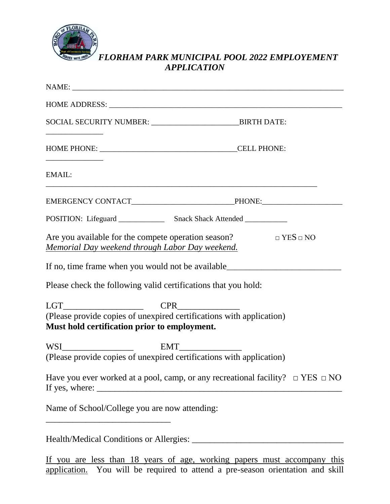

# *FLORHAM PARK MUNICIPAL POOL 2022 EMPLOYEMENT APPLICATION*

|                                                 | NAME:                                                                                                                                                              |  |
|-------------------------------------------------|--------------------------------------------------------------------------------------------------------------------------------------------------------------------|--|
|                                                 |                                                                                                                                                                    |  |
|                                                 | SOCIAL SECURITY NUMBER: _______________________________BIRTH DATE:                                                                                                 |  |
|                                                 |                                                                                                                                                                    |  |
| EMAIL:                                          |                                                                                                                                                                    |  |
|                                                 |                                                                                                                                                                    |  |
|                                                 |                                                                                                                                                                    |  |
| Memorial Day weekend through Labor Day weekend. | Are you available for the compete operation season? $\square$ $YES \square NO$<br>If no, time frame when you would not be available_______________________________ |  |
|                                                 | Please check the following valid certifications that you hold:                                                                                                     |  |
| $LGT$ $CPR$ $CPR$                               |                                                                                                                                                                    |  |
| Must hold certification prior to employment.    | (Please provide copies of unexpired certifications with application)                                                                                               |  |
|                                                 |                                                                                                                                                                    |  |
|                                                 | (Please provide copies of unexpired certifications with application)                                                                                               |  |
|                                                 | Have you ever worked at a pool, camp, or any recreational facility? $\Box$ YES $\Box$ NO<br>If yes, where:                                                         |  |
| Name of School/College you are now attending:   |                                                                                                                                                                    |  |
|                                                 |                                                                                                                                                                    |  |

If you are less than 18 years of age, working papers must accompany this application. You will be required to attend a pre-season orientation and skill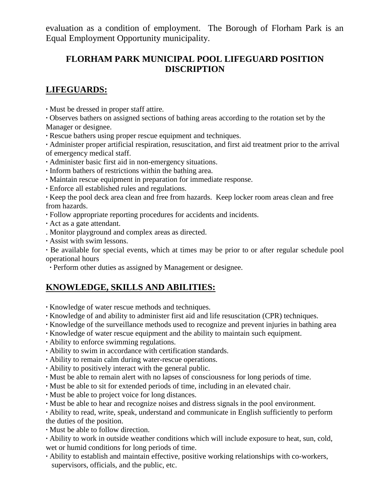evaluation as a condition of employment. The Borough of Florham Park is an Equal Employment Opportunity municipality.

### **FLORHAM PARK MUNICIPAL POOL LIFEGUARD POSITION DISCRIPTION**

#### **LIFEGUARDS:**

**∙** Must be dressed in proper staff attire.

**∙** Observes bathers on assigned sections of bathing areas according to the rotation set by the Manager or designee.

**∙** Rescue bathers using proper rescue equipment and techniques.

**∙** Administer proper artificial respiration, resuscitation, and first aid treatment prior to the arrival of emergency medical staff.

**∙** Administer basic first aid in non-emergency situations.

**∙** Inform bathers of restrictions within the bathing area.

**∙** Maintain rescue equipment in preparation for immediate response.

**∙** Enforce all established rules and regulations.

**∙** Keep the pool deck area clean and free from hazards. Keep locker room areas clean and free from hazards.

**∙** Follow appropriate reporting procedures for accidents and incidents.

- **∙** Act as a gate attendant.
- . Monitor playground and complex areas as directed.
- **∙** Assist with swim lessons.

**∙** Be available for special events, which at times may be prior to or after regular schedule pool operational hours

**∙** Perform other duties as assigned by Management or designee.

### **KNOWLEDGE, SKILLS AND ABILITIES:**

- **∙** Knowledge of water rescue methods and techniques.
- **∙** Knowledge of and ability to administer first aid and life resuscitation (CPR) techniques.
- **∙** Knowledge of the surveillance methods used to recognize and prevent injuries in bathing area
- **∙** Knowledge of water rescue equipment and the ability to maintain such equipment.
- **∙** Ability to enforce swimming regulations.
- **∙** Ability to swim in accordance with certification standards.
- **∙** Ability to remain calm during water-rescue operations.
- **∙** Ability to positively interact with the general public.
- **∙** Must be able to remain alert with no lapses of consciousness for long periods of time.
- **∙** Must be able to sit for extended periods of time, including in an elevated chair.
- **∙** Must be able to project voice for long distances.
- **∙** Must be able to hear and recognize noises and distress signals in the pool environment.

**∙** Ability to read, write, speak, understand and communicate in English sufficiently to perform the duties of the position.

**∙** Must be able to follow direction.

**∙** Ability to work in outside weather conditions which will include exposure to heat, sun, cold, wet or humid conditions for long periods of time.

**∙** Ability to establish and maintain effective, positive working relationships with co-workers, supervisors, officials, and the public, etc.